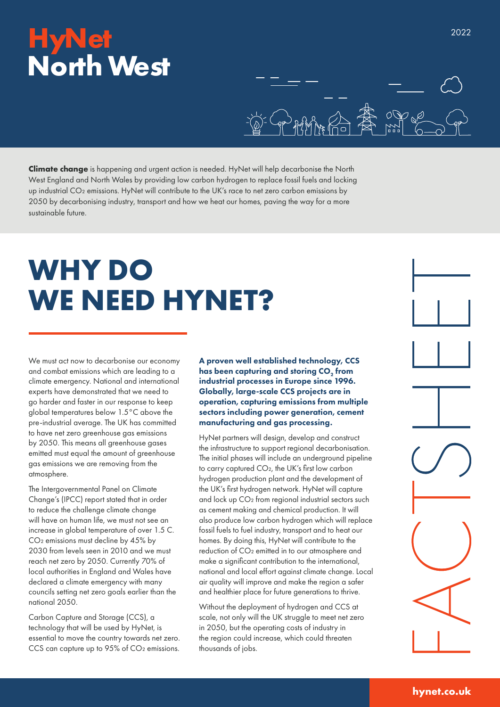### **HyNet North West**

**Climate change** is happening and urgent action is needed. HyNet will help decarbonise the North West England and North Wales by providing low carbon hydrogen to replace fossil fuels and locking up industrial CO<sub>2</sub> emissions. HyNet will contribute to the UK's race to net zero carbon emissions by 2050 by decarbonising industry, transport and how we heat our homes, paving the way for a more sustainable future.

# **WHY DO WE NEED HYNET?**

We must act now to decarbonise our economy and combat emissions which are leading to a climate emergency. National and international experts have demonstrated that we need to go harder and faster in our response to keep global temperatures below 1.5°C above the pre-industrial average. The UK has committed to have net zero greenhouse gas emissions by 2050. This means all greenhouse gases emitted must equal the amount of greenhouse gas emissions we are removing from the atmosphere.

The Intergovernmental Panel on Climate Change's (IPCC) report stated that in order to reduce the challenge climate change will have on human life, we must not see an increase in global temperature of over 1.5 C. CO<sub>2</sub> emissions must decline by 45% by 2030 from levels seen in 2010 and we must reach net zero by 2050. Currently 70% of local authorities in England and Wales have declared a climate emergency with many councils setting net zero goals earlier than the national 2050.

Carbon Capture and Storage (CCS), a technology that will be used by HyNet, is essential to move the country towards net zero. CCS can capture up to 95% of CO<sub>2</sub> emissions.

A proven well established technology, CCS has been capturing and storing CO<sub>2</sub> from industrial processes in Europe since 1996. Globally, large-scale CCS projects are in operation, capturing emissions from multiple sectors including power generation, cement manufacturing and gas processing.

HyNet partners will design, develop and construct the infrastructure to support regional decarbonisation. The initial phases will include an underground pipeline to carry captured CO₂, the UK's first low carbon hydrogen production plant and the development of the UK's first hydrogen network. HyNet will capture and lock up CO₂ from regional industrial sectors such as cement making and chemical production. It will also produce low carbon hydrogen which will replace fossil fuels to fuel industry, transport and to heat our homes. By doing this, HyNet will contribute to the reduction of CO₂ emitted in to our atmosphere and make a significant contribution to the international, national and local effort against climate change. Local air quality will improve and make the region a safer and healthier place for future generations to thrive.

Without the deployment of hydrogen and CCS at scale, not only will the UK struggle to meet net zero in 2050, but the operating costs of industry in the region could increase, which could threaten thousands of jobs.



2022

#### **hynet.co.uk**